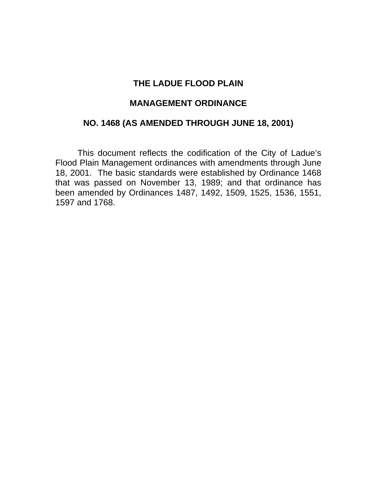## **THE LADUE FLOOD PLAIN**

## **MANAGEMENT ORDINANCE**

## **NO. 1468 (AS AMENDED THROUGH JUNE 18, 2001)**

 This document reflects the codification of the City of Ladue's Flood Plain Management ordinances with amendments through June 18, 2001. The basic standards were established by Ordinance 1468 that was passed on November 13, 1989; and that ordinance has been amended by Ordinances 1487, 1492, 1509, 1525, 1536, 1551, 1597 and 1768.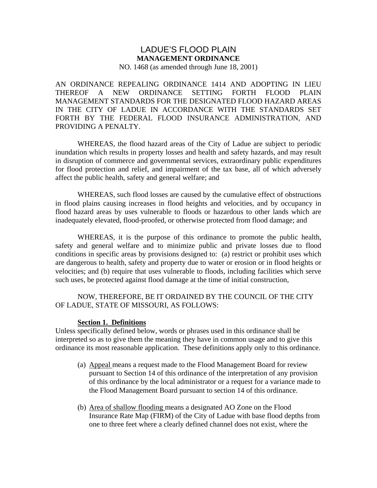## LADUE'S FLOOD PLAIN **MANAGEMENT ORDINANCE**

NO. 1468 (as amended through June 18, 2001)

AN ORDINANCE REPEALING ORDINANCE 1414 AND ADOPTING IN LIEU THEREOF A NEW ORDINANCE SETTING FORTH FLOOD PLAIN MANAGEMENT STANDARDS FOR THE DESIGNATED FLOOD HAZARD AREAS IN THE CITY OF LADUE IN ACCORDANCE WITH THE STANDARDS SET FORTH BY THE FEDERAL FLOOD INSURANCE ADMINISTRATION, AND PROVIDING A PENALTY.

 WHEREAS, the flood hazard areas of the City of Ladue are subject to periodic inundation which results in property losses and health and safety hazards, and may result in disruption of commerce and governmental services, extraordinary public expenditures for flood protection and relief, and impairment of the tax base, all of which adversely affect the public health, safety and general welfare; and

 WHEREAS, such flood losses are caused by the cumulative effect of obstructions in flood plains causing increases in flood heights and velocities, and by occupancy in flood hazard areas by uses vulnerable to floods or hazardous to other lands which are inadequately elevated, flood-proofed, or otherwise protected from flood damage; and

 WHEREAS, it is the purpose of this ordinance to promote the public health, safety and general welfare and to minimize public and private losses due to flood conditions in specific areas by provisions designed to: (a) restrict or prohibit uses which are dangerous to health, safety and property due to water or erosion or in flood heights or velocities; and (b) require that uses vulnerable to floods, including facilities which serve such uses, be protected against flood damage at the time of initial construction,

#### NOW, THEREFORE, BE IT ORDAINED BY THE COUNCIL OF THE CITY OF LADUE, STATE OF MISSOURI, AS FOLLOWS:

#### **Section 1. Definitions**

Unless specifically defined below, words or phrases used in this ordinance shall be interpreted so as to give them the meaning they have in common usage and to give this ordinance its most reasonable application. These definitions apply only to this ordinance.

- (a) Appeal means a request made to the Flood Management Board for review pursuant to Section 14 of this ordinance of the interpretation of any provision of this ordinance by the local administrator or a request for a variance made to the Flood Management Board pursuant to section 14 of this ordinance.
- (b) Area of shallow flooding means a designated AO Zone on the Flood Insurance Rate Map (FIRM) of the City of Ladue with base flood depths from one to three feet where a clearly defined channel does not exist, where the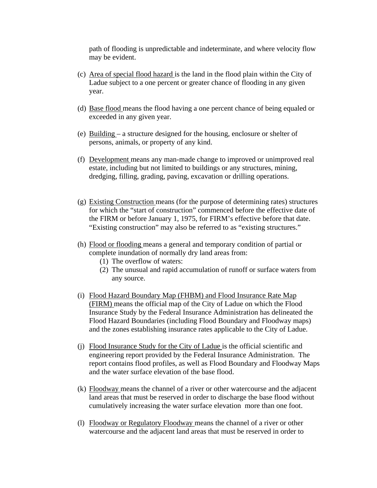path of flooding is unpredictable and indeterminate, and where velocity flow may be evident.

- (c) Area of special flood hazard is the land in the flood plain within the City of Ladue subject to a one percent or greater chance of flooding in any given year.
- (d) Base flood means the flood having a one percent chance of being equaled or exceeded in any given year.
- (e) Building a structure designed for the housing, enclosure or shelter of persons, animals, or property of any kind.
- (f) Development means any man-made change to improved or unimproved real estate, including but not limited to buildings or any structures, mining, dredging, filling, grading, paving, excavation or drilling operations.
- (g) Existing Construction means (for the purpose of determining rates) structures for which the "start of construction" commenced before the effective date of the FIRM or before January 1, 1975, for FIRM's effective before that date. "Existing construction" may also be referred to as "existing structures."
- (h) Flood or flooding means a general and temporary condition of partial or complete inundation of normally dry land areas from:
	- (1) The overflow of waters:
	- (2) The unusual and rapid accumulation of runoff or surface waters from any source.
- (i) Flood Hazard Boundary Map (FHBM) and Flood Insurance Rate Map (FIRM) means the official map of the City of Ladue on which the Flood Insurance Study by the Federal Insurance Administration has delineated the Flood Hazard Boundaries (including Flood Boundary and Floodway maps) and the zones establishing insurance rates applicable to the City of Ladue.
- (j) Flood Insurance Study for the City of Ladue is the official scientific and engineering report provided by the Federal Insurance Administration. The report contains flood profiles, as well as Flood Boundary and Floodway Maps and the water surface elevation of the base flood.
- (k) Floodway means the channel of a river or other watercourse and the adjacent land areas that must be reserved in order to discharge the base flood without cumulatively increasing the water surface elevation more than one foot.
- (l) Floodway or Regulatory Floodway means the channel of a river or other watercourse and the adjacent land areas that must be reserved in order to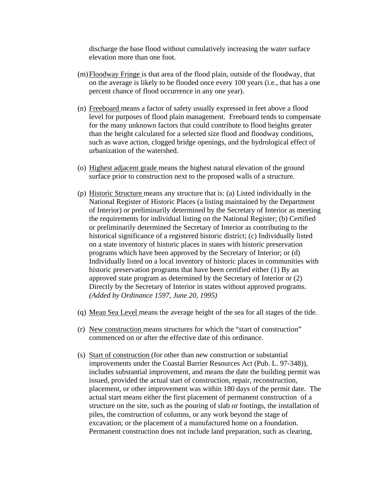discharge the base flood without cumulatively increasing the water surface elevation more than one foot.

- (m)Floodway Fringe is that area of the flood plain, outside of the floodway, that on the average is likely to be flooded once every 100 years (i.e., that has a one percent chance of flood occurrence in any one year).
- (n) Freeboard means a factor of safety usually expressed in feet above a flood level for purposes of flood plain management. Freeboard tends to compensate for the many unknown factors that could contribute to flood heights greater than the height calculated for a selected size flood and floodway conditions, such as wave action, clogged bridge openings, and the hydrological effect of urbanization of the watershed.
- (o) Highest adjacent grade means the highest natural elevation of the ground surface prior to construction next to the proposed walls of a structure.
- (p) Historic Structure means any structure that is: (a) Listed individually in the National Register of Historic Places (a listing maintained by the Department of Interior) or preliminarily determined by the Secretary of Interior as meeting the requirements for individual listing on the National Register; (b) Certified or preliminarily determined the Secretary of Interior as contributing to the historical significance of a registered historic district; (c) Individually listed on a state inventory of historic places in states with historic preservation programs which have been approved by the Secretary of Interior; or (d) Individually listed on a local inventory of historic places in communities with historic preservation programs that have been certified either (1) By an approved state program as determined by the Secretary of Interior or (2) Directly by the Secretary of Interior in states without approved programs. *(Added by Ordinance 1597, June 20, 1995)*
- (q) Mean Sea Level means the average height of the sea for all stages of the tide.
- (r) New construction means structures for which the "start of construction" commenced on or after the effective date of this ordinance.
- (s) Start of construction (for other than new construction or substantial improvements under the Coastal Barrier Resources Act (Pub. L. 97-348)), includes substantial improvement, and means the date the building permit was issued, provided the actual start of construction, repair, reconstruction, placement, or other improvement was within 180 days of the permit date. The actual start means either the first placement of permanent construction of a structure on the site, such as the pouring of slab or footings, the installation of piles, the construction of columns, or any work beyond the stage of excavation; or the placement of a manufactured home on a foundation. Permanent construction does not include land preparation, such as clearing,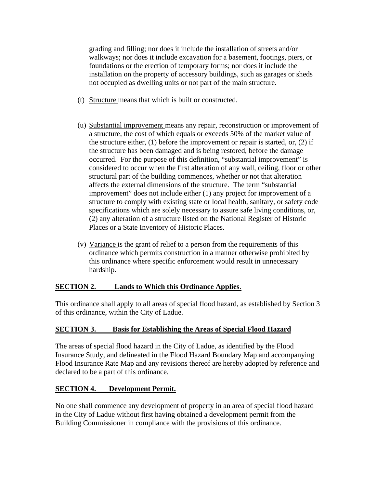grading and filling; nor does it include the installation of streets and/or walkways; nor does it include excavation for a basement, footings, piers, or foundations or the erection of temporary forms; nor does it include the installation on the property of accessory buildings, such as garages or sheds not occupied as dwelling units or not part of the main structure.

- (t) Structure means that which is built or constructed.
- (u) Substantial improvement means any repair, reconstruction or improvement of a structure, the cost of which equals or exceeds 50% of the market value of the structure either, (1) before the improvement or repair is started, or, (2) if the structure has been damaged and is being restored, before the damage occurred. For the purpose of this definition, "substantial improvement" is considered to occur when the first alteration of any wall, ceiling, floor or other structural part of the building commences, whether or not that alteration affects the external dimensions of the structure. The term "substantial improvement" does not include either (1) any project for improvement of a structure to comply with existing state or local health, sanitary, or safety code specifications which are solely necessary to assure safe living conditions, or, (2) any alteration of a structure listed on the National Register of Historic Places or a State Inventory of Historic Places.
- (v) Variance is the grant of relief to a person from the requirements of this ordinance which permits construction in a manner otherwise prohibited by this ordinance where specific enforcement would result in unnecessary hardship.

## **SECTION 2. Lands to Which this Ordinance Applies**.

This ordinance shall apply to all areas of special flood hazard, as established by Section 3 of this ordinance, within the City of Ladue.

## **SECTION 3. Basis for Establishing the Areas of Special Flood Hazard**

The areas of special flood hazard in the City of Ladue, as identified by the Flood Insurance Study, and delineated in the Flood Hazard Boundary Map and accompanying Flood Insurance Rate Map and any revisions thereof are hereby adopted by reference and declared to be a part of this ordinance.

## **SECTION 4. Development Permit.**

No one shall commence any development of property in an area of special flood hazard in the City of Ladue without first having obtained a development permit from the Building Commissioner in compliance with the provisions of this ordinance.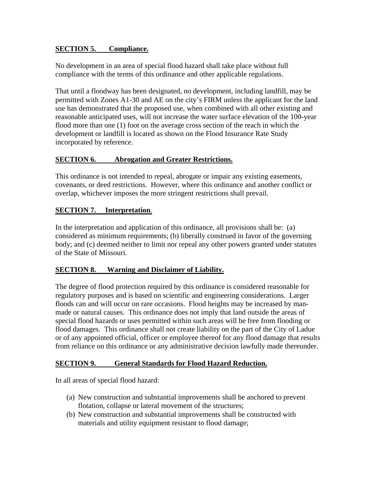## **SECTION 5. Compliance.**

No development in an area of special flood hazard shall take place without full compliance with the terms of this ordinance and other applicable regulations.

That until a floodway has been designated, no development, including landfill, may be permitted with Zones A1-30 and AE on the city's FIRM unless the applicant for the land use has demonstrated that the proposed use, when combined with all other existing and reasonable anticipated uses, will not increase the water surface elevation of the 100-year flood more than one (1) foot on the average cross section of the reach in which the development or landfill is located as shown on the Flood Insurance Rate Study incorporated by reference.

## **SECTION 6. Abrogation and Greater Restrictions.**

This ordinance is not intended to repeal, abrogate or impair any existing easements, covenants, or deed restrictions. However, where this ordinance and another conflict or overlap, whichever imposes the more stringent restrictions shall prevail.

## **SECTION 7. Interpretation**.

In the interpretation and application of this ordinance, all provisions shall be: (a) considered as minimum requirements; (b) liberally construed in favor of the governing body; and (c) deemed neither to limit nor repeal any other powers granted under statutes of the State of Missouri.

## **SECTION 8. Warning and Disclaimer of Liability.**

The degree of flood protection required by this ordinance is considered reasonable for regulatory purposes and is based on scientific and engineering considerations. Larger floods can and will occur on rare occasions. Flood heights may be increased by manmade or natural causes. This ordinance does not imply that land outside the areas of special flood hazards or uses permitted within such areas will be free from flooding or flood damages. This ordinance shall not create liability on the part of the City of Ladue or of any appointed official, officer or employee thereof for any flood damage that results from reliance on this ordinance or any administrative decision lawfully made thereunder.

## **SECTION 9. General Standards for Flood Hazard Reduction.**

In all areas of special flood hazard:

- (a) New construction and substantial improvements shall be anchored to prevent flotation, collapse or lateral movement of the structures;
- (b) New construction and substantial improvements shall be constructed with materials and utility equipment resistant to flood damage;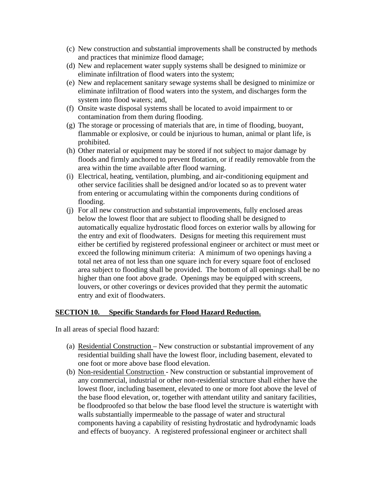- (c) New construction and substantial improvements shall be constructed by methods and practices that minimize flood damage;
- (d) New and replacement water supply systems shall be designed to minimize or eliminate infiltration of flood waters into the system;
- (e) New and replacement sanitary sewage systems shall be designed to minimize or eliminate infiltration of flood waters into the system, and discharges form the system into flood waters; and,
- (f) Onsite waste disposal systems shall be located to avoid impairment to or contamination from them during flooding.
- (g) The storage or processing of materials that are, in time of flooding, buoyant, flammable or explosive, or could be injurious to human, animal or plant life, is prohibited.
- (h) Other material or equipment may be stored if not subject to major damage by floods and firmly anchored to prevent flotation, or if readily removable from the area within the time available after flood warning.
- (i) Electrical, heating, ventilation, plumbing, and air-conditioning equipment and other service facilities shall be designed and/or located so as to prevent water from entering or accumulating within the components during conditions of flooding.
- (j) For all new construction and substantial improvements, fully enclosed areas below the lowest floor that are subject to flooding shall be designed to automatically equalize hydrostatic flood forces on exterior walls by allowing for the entry and exit of floodwaters. Designs for meeting this requirement must either be certified by registered professional engineer or architect or must meet or exceed the following minimum criteria: A minimum of two openings having a total net area of not less than one square inch for every square foot of enclosed area subject to flooding shall be provided. The bottom of all openings shall be no higher than one foot above grade. Openings may be equipped with screens, louvers, or other coverings or devices provided that they permit the automatic entry and exit of floodwaters.

#### **SECTION 10. Specific Standards for Flood Hazard Reduction.**

In all areas of special flood hazard:

- (a) Residential Construction New construction or substantial improvement of any residential building shall have the lowest floor, including basement, elevated to one foot or more above base flood elevation.
- (b) Non-residential Construction New construction or substantial improvement of any commercial, industrial or other non-residential structure shall either have the lowest floor, including basement, elevated to one or more foot above the level of the base flood elevation, or, together with attendant utility and sanitary facilities, be floodproofed so that below the base flood level the structure is watertight with walls substantially impermeable to the passage of water and structural components having a capability of resisting hydrostatic and hydrodynamic loads and effects of buoyancy. A registered professional engineer or architect shall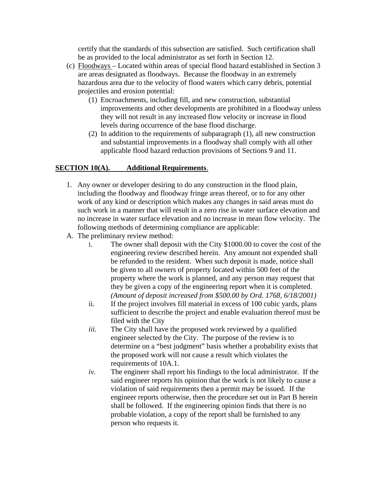certify that the standards of this subsection are satisfied. Such certification shall be as provided to the local administrator as set forth in Section 12.

- (c) Floodways Located within areas of special flood hazard established in Section 3 are areas designated as floodways. Because the floodway in an extremely hazardous area due to the velocity of flood waters which carry debris, potential projectiles and erosion potential:
	- (1) Encroachments, including fill, and new construction, substantial improvements and other developments are prohibited in a floodway unless they will not result in any increased flow velocity or increase in flood levels during occurrence of the base flood discharge.
	- (2) In addition to the requirements of subparagraph (1), all new construction and substantial improvements in a floodway shall comply with all other applicable flood hazard reduction provisions of Sections 9 and 11.

## **SECTION 10(A). Additional Requirements**.

- 1. Any owner or developer desiring to do any construction in the flood plain, including the floodway and floodway fringe areas thereof, or to for any other work of any kind or description which makes any changes in said areas must do such work in a manner that will result in a zero rise in water surface elevation and no increase in water surface elevation and no increase in mean flow velocity. The following methods of determining compliance are applicable:
- A. The preliminary review method:
	- i. The owner shall deposit with the City \$1000.00 to cover the cost of the engineering review described herein. Any amount not expended shall be refunded to the resident. When such deposit is made, notice shall be given to all owners of property located within 500 feet of the property where the work is planned, and any person may request that they be given a copy of the engineering report when it is completed. *(Amount of deposit increased from \$500.00 by Ord. 1768, 6/18/2001)*
	- ii. If the project involves fill material in excess of 100 cubic yards, plans sufficient to describe the project and enable evaluation thereof must be filed with the City
	- *iii.* The City shall have the proposed work reviewed by a qualified engineer selected by the City. The purpose of the review is to determine on a "best judgment" basis whether a probability exists that the proposed work will not cause a result which violates the requirements of 10A.1.
	- *iv.* The engineer shall report his findings to the local administrator. If the said engineer reports his opinion that the work is not likely to cause a violation of said requirements then a permit may be issued. If the engineer reports otherwise, then the procedure set out in Part B herein shall be followed. If the engineering opinion finds that there is no probable violation, a copy of the report shall be furnished to any person who requests it.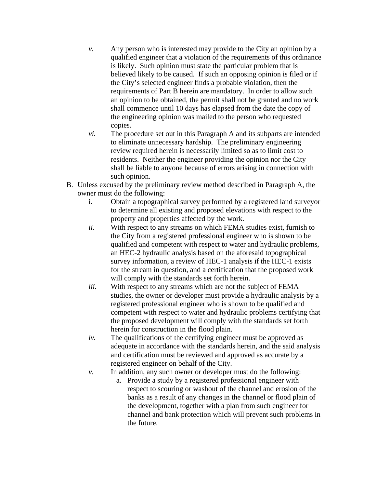- *v.* Any person who is interested may provide to the City an opinion by a qualified engineer that a violation of the requirements of this ordinance is likely. Such opinion must state the particular problem that is believed likely to be caused. If such an opposing opinion is filed or if the City's selected engineer finds a probable violation, then the requirements of Part B herein are mandatory. In order to allow such an opinion to be obtained, the permit shall not be granted and no work shall commence until 10 days has elapsed from the date the copy of the engineering opinion was mailed to the person who requested copies.
- *vi.* The procedure set out in this Paragraph A and its subparts are intended to eliminate unnecessary hardship. The preliminary engineering review required herein is necessarily limited so as to limit cost to residents. Neither the engineer providing the opinion nor the City shall be liable to anyone because of errors arising in connection with such opinion.
- B. Unless excused by the preliminary review method described in Paragraph A, the owner must do the following:
	- i. Obtain a topographical survey performed by a registered land surveyor to determine all existing and proposed elevations with respect to the property and properties affected by the work.
	- *ii.* With respect to any streams on which FEMA studies exist, furnish to the City from a registered professional engineer who is shown to be qualified and competent with respect to water and hydraulic problems, an HEC-2 hydraulic analysis based on the aforesaid topographical survey information, a review of HEC-1 analysis if the HEC-1 exists for the stream in question, and a certification that the proposed work will comply with the standards set forth herein.
	- *iii.* With respect to any streams which are not the subject of FEMA studies, the owner or developer must provide a hydraulic analysis by a registered professional engineer who is shown to be qualified and competent with respect to water and hydraulic problems certifying that the proposed development will comply with the standards set forth herein for construction in the flood plain.
	- *iv.* The qualifications of the certifying engineer must be approved as adequate in accordance with the standards herein, and the said analysis and certification must be reviewed and approved as accurate by a registered engineer on behalf of the City.
	- *v.* In addition, any such owner or developer must do the following:
		- a. Provide a study by a registered professional engineer with respect to scouring or washout of the channel and erosion of the banks as a result of any changes in the channel or flood plain of the development, together with a plan from such engineer for channel and bank protection which will prevent such problems in the future.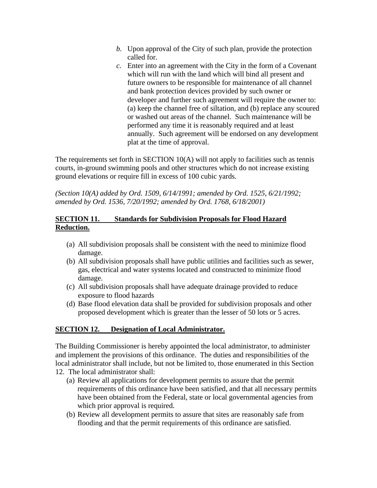- *b.* Upon approval of the City of such plan, provide the protection called for.
- *c.* Enter into an agreement with the City in the form of a Covenant which will run with the land which will bind all present and future owners to be responsible for maintenance of all channel and bank protection devices provided by such owner or developer and further such agreement will require the owner to: (a) keep the channel free of siltation, and (b) replace any scoured or washed out areas of the channel. Such maintenance will be performed any time it is reasonably required and at least annually. Such agreement will be endorsed on any development plat at the time of approval.

The requirements set forth in SECTION 10(A) will not apply to facilities such as tennis courts, in-ground swimming pools and other structures which do not increase existing ground elevations or require fill in excess of 100 cubic yards.

*(Section 10(A) added by Ord. 1509, 6/14/1991; amended by Ord. 1525, 6/21/1992; amended by Ord. 1536, 7/20/1992; amended by Ord. 1768, 6/18/2001)*

### **SECTION 11. Standards for Subdivision Proposals for Flood Hazard Reduction.**

- (a) All subdivision proposals shall be consistent with the need to minimize flood damage.
- (b) All subdivision proposals shall have public utilities and facilities such as sewer, gas, electrical and water systems located and constructed to minimize flood damage.
- (c) All subdivision proposals shall have adequate drainage provided to reduce exposure to flood hazards
- (d) Base flood elevation data shall be provided for subdivision proposals and other proposed development which is greater than the lesser of 50 lots or 5 acres.

## **SECTION 12. Designation of Local Administrator.**

The Building Commissioner is hereby appointed the local administrator, to administer and implement the provisions of this ordinance. The duties and responsibilities of the local administrator shall include, but not be limited to, those enumerated in this Section

- 12. The local administrator shall:
	- (a) Review all applications for development permits to assure that the permit requirements of this ordinance have been satisfied, and that all necessary permits have been obtained from the Federal, state or local governmental agencies from which prior approval is required.
	- (b) Review all development permits to assure that sites are reasonably safe from flooding and that the permit requirements of this ordinance are satisfied.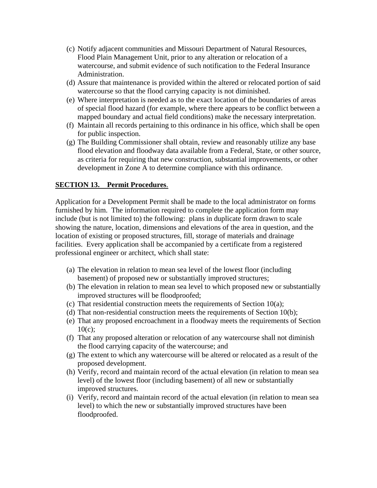- (c) Notify adjacent communities and Missouri Department of Natural Resources, Flood Plain Management Unit, prior to any alteration or relocation of a watercourse, and submit evidence of such notification to the Federal Insurance Administration.
- (d) Assure that maintenance is provided within the altered or relocated portion of said watercourse so that the flood carrying capacity is not diminished.
- (e) Where interpretation is needed as to the exact location of the boundaries of areas of special flood hazard (for example, where there appears to be conflict between a mapped boundary and actual field conditions) make the necessary interpretation.
- (f) Maintain all records pertaining to this ordinance in his office, which shall be open for public inspection.
- (g) The Building Commissioner shall obtain, review and reasonably utilize any base flood elevation and floodway data available from a Federal, State, or other source, as criteria for requiring that new construction, substantial improvements, or other development in Zone A to determine compliance with this ordinance.

## **SECTION 13. Permit Procedures**.

Application for a Development Permit shall be made to the local administrator on forms furnished by him. The information required to complete the application form may include (but is not limited to) the following: plans in duplicate form drawn to scale showing the nature, location, dimensions and elevations of the area in question, and the location of existing or proposed structures, fill, storage of materials and drainage facilities. Every application shall be accompanied by a certificate from a registered professional engineer or architect, which shall state:

- (a) The elevation in relation to mean sea level of the lowest floor (including basement) of proposed new or substantially improved structures;
- (b) The elevation in relation to mean sea level to which proposed new or substantially improved structures will be floodproofed;
- (c) That residential construction meets the requirements of Section 10(a);
- (d) That non-residential construction meets the requirements of Section 10(b);
- (e) That any proposed encroachment in a floodway meets the requirements of Section 10(c);
- (f) That any proposed alteration or relocation of any watercourse shall not diminish the flood carrying capacity of the watercourse; and
- (g) The extent to which any watercourse will be altered or relocated as a result of the proposed development.
- (h) Verify, record and maintain record of the actual elevation (in relation to mean sea level) of the lowest floor (including basement) of all new or substantially improved structures.
- (i) Verify, record and maintain record of the actual elevation (in relation to mean sea level) to which the new or substantially improved structures have been floodproofed.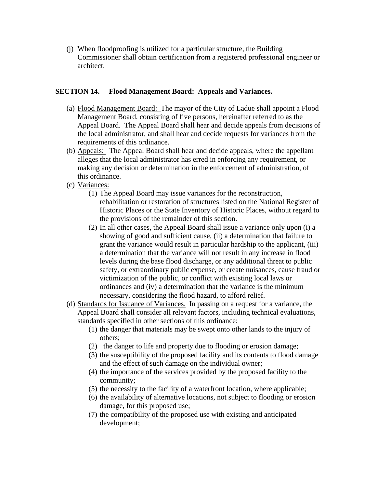(j) When floodproofing is utilized for a particular structure, the Building Commissioner shall obtain certification from a registered professional engineer or architect.

### **SECTION 14. Flood Management Board: Appeals and Variances.**

- (a) Flood Management Board: The mayor of the City of Ladue shall appoint a Flood Management Board, consisting of five persons, hereinafter referred to as the Appeal Board. The Appeal Board shall hear and decide appeals from decisions of the local administrator, and shall hear and decide requests for variances from the requirements of this ordinance.
- (b) Appeals: The Appeal Board shall hear and decide appeals, where the appellant alleges that the local administrator has erred in enforcing any requirement, or making any decision or determination in the enforcement of administration, of this ordinance.
- (c) Variances:
	- (1) The Appeal Board may issue variances for the reconstruction, rehabilitation or restoration of structures listed on the National Register of Historic Places or the State Inventory of Historic Places, without regard to the provisions of the remainder of this section.
	- (2) In all other cases, the Appeal Board shall issue a variance only upon (i) a showing of good and sufficient cause, (ii) a determination that failure to grant the variance would result in particular hardship to the applicant, (iii) a determination that the variance will not result in any increase in flood levels during the base flood discharge, or any additional threat to public safety, or extraordinary public expense, or create nuisances, cause fraud or victimization of the public, or conflict with existing local laws or ordinances and (iv) a determination that the variance is the minimum necessary, considering the flood hazard, to afford relief.
- (d) Standards for Issuance of Variances. In passing on a request for a variance, the Appeal Board shall consider all relevant factors, including technical evaluations, standards specified in other sections of this ordinance:
	- (1) the danger that materials may be swept onto other lands to the injury of others;
	- (2) the danger to life and property due to flooding or erosion damage;
	- (3) the susceptibility of the proposed facility and its contents to flood damage and the effect of such damage on the individual owner;
	- (4) the importance of the services provided by the proposed facility to the community;
	- (5) the necessity to the facility of a waterfront location, where applicable;
	- (6) the availability of alternative locations, not subject to flooding or erosion damage, for this proposed use;
	- (7) the compatibility of the proposed use with existing and anticipated development;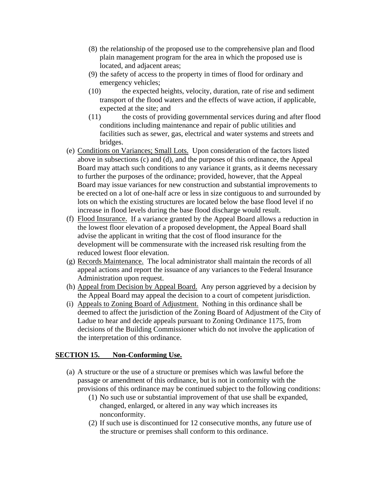- (8) the relationship of the proposed use to the comprehensive plan and flood plain management program for the area in which the proposed use is located, and adjacent areas;
- (9) the safety of access to the property in times of flood for ordinary and emergency vehicles;
- (10) the expected heights, velocity, duration, rate of rise and sediment transport of the flood waters and the effects of wave action, if applicable, expected at the site; and
- (11) the costs of providing governmental services during and after flood conditions including maintenance and repair of public utilities and facilities such as sewer, gas, electrical and water systems and streets and bridges.
- (e) Conditions on Variances; Small Lots. Upon consideration of the factors listed above in subsections (c) and (d), and the purposes of this ordinance, the Appeal Board may attach such conditions to any variance it grants, as it deems necessary to further the purposes of the ordinance; provided, however, that the Appeal Board may issue variances for new construction and substantial improvements to be erected on a lot of one-half acre or less in size contiguous to and surrounded by lots on which the existing structures are located below the base flood level if no increase in flood levels during the base flood discharge would result.
- (f) Flood Insurance. If a variance granted by the Appeal Board allows a reduction in the lowest floor elevation of a proposed development, the Appeal Board shall advise the applicant in writing that the cost of flood insurance for the development will be commensurate with the increased risk resulting from the reduced lowest floor elevation.
- (g) Records Maintenance. The local administrator shall maintain the records of all appeal actions and report the issuance of any variances to the Federal Insurance Administration upon request.
- (h) Appeal from Decision by Appeal Board. Any person aggrieved by a decision by the Appeal Board may appeal the decision to a court of competent jurisdiction.
- (i) Appeals to Zoning Board of Adjustment. Nothing in this ordinance shall be deemed to affect the jurisdiction of the Zoning Board of Adjustment of the City of Ladue to hear and decide appeals pursuant to Zoning Ordinance 1175, from decisions of the Building Commissioner which do not involve the application of the interpretation of this ordinance.

## **SECTION 15. Non-Conforming Use.**

- (a) A structure or the use of a structure or premises which was lawful before the passage or amendment of this ordinance, but is not in conformity with the provisions of this ordinance may be continued subject to the following conditions:
	- (1) No such use or substantial improvement of that use shall be expanded, changed, enlarged, or altered in any way which increases its nonconformity.
	- (2) If such use is discontinued for 12 consecutive months, any future use of the structure or premises shall conform to this ordinance.